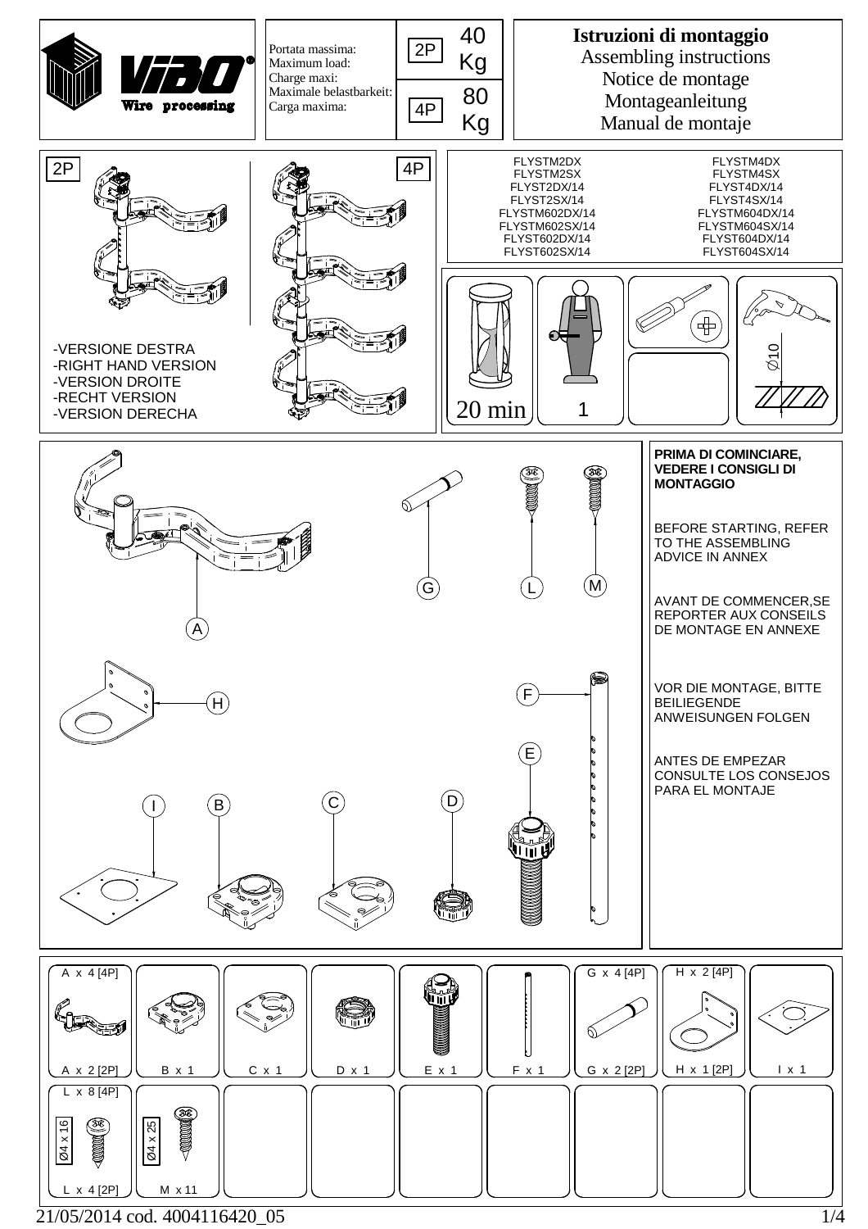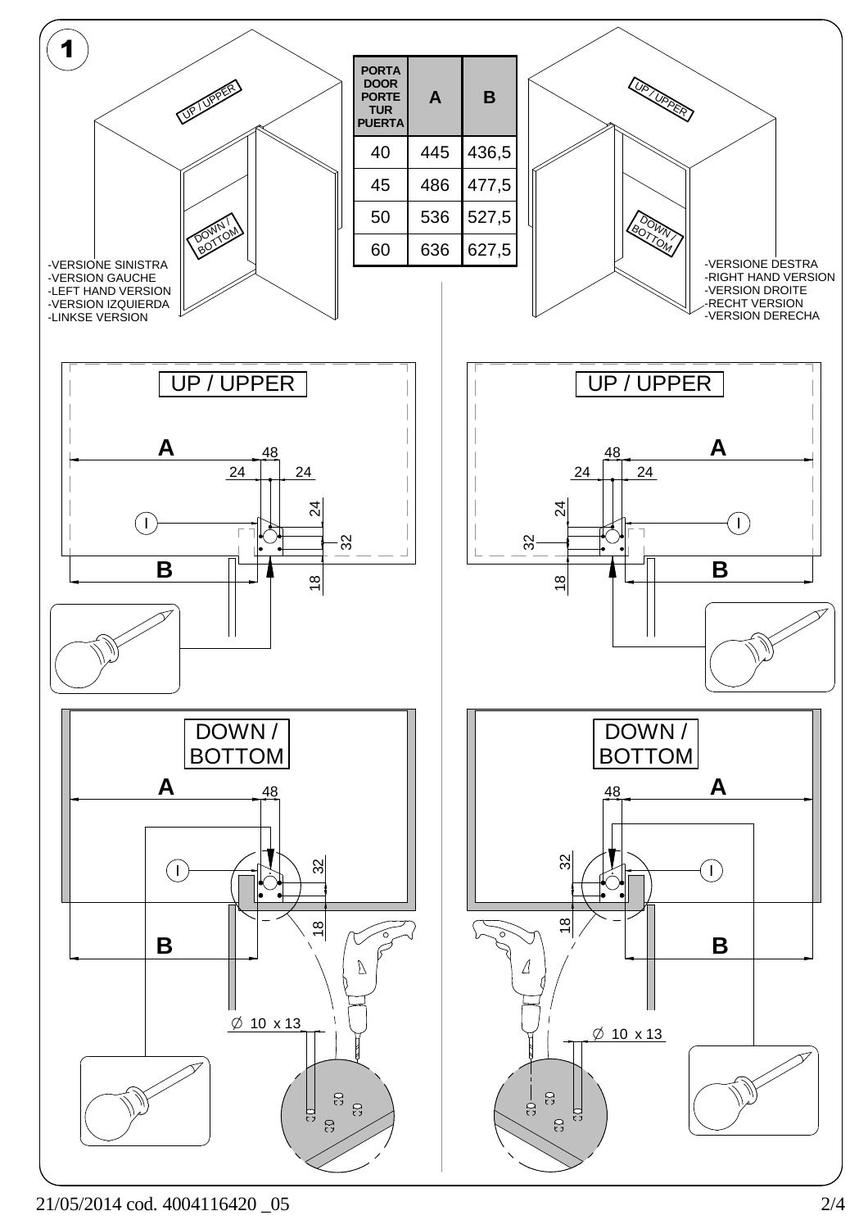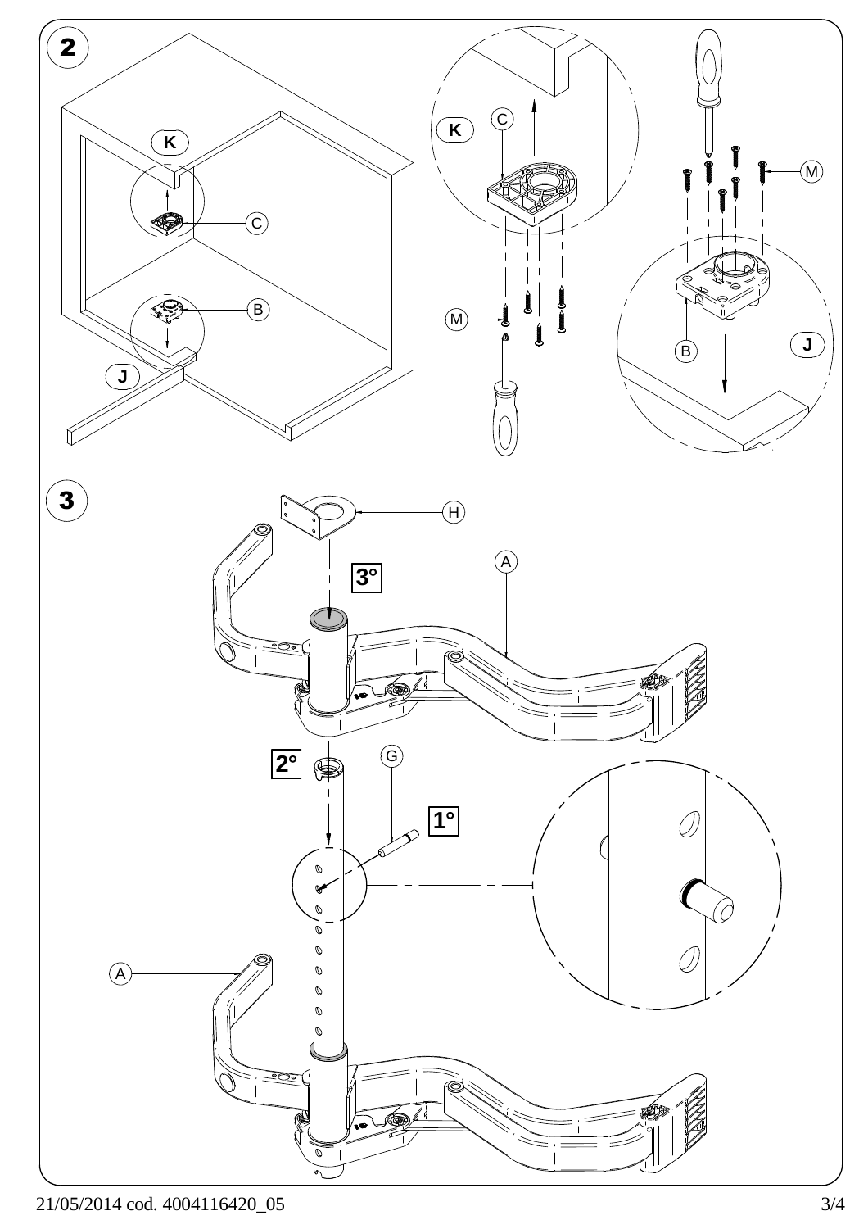

21/05/2014 cod. 4004116420\_05 3/4